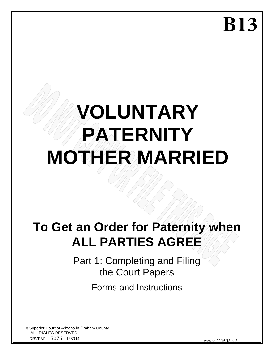**B13**

# **VOLUNTARY PATERNITY MOTHER MARRIED**

# **To Get an Order for Paternity when ALL PARTIES AGREE**

Part 1: Completing and Filing the Court Papers

Forms and Instructions

©Superior Court of Arizona in Graham County ALL RIGHTS RESERVED DRVPM1 – 5076 - 123014

version 02/16/18-b13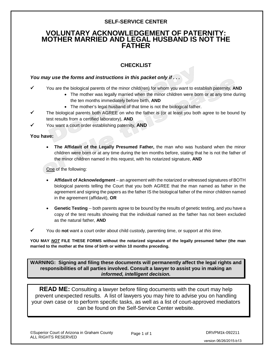#### **SELF-SERVICE CENTER**

# **VOLUNTARY ACKNOWLEDGEMENT OF PATERNITY: MOTHER MARRIED AND LEGAL HUSBAND IS NOT THE FATHER**

# **CHECKLIST**

#### *You may use the forms and instructions in this packet only if . . .*

- You are the biological parents of the minor child(ren) for whom you want to establish paternity, **AND**
	- The mother was legally married when the minor children were born or at any time during the ten months immediately before birth, **AND**
	- The mother's legal husband of that time is not the biological father.
- The biological parents both AGREE on who the father is (or at least you both agree to be bound by test results from a certified laboratory), **AND**
- You want a court order establishing paternity, **AND**

**You have:**

• **The Affidavit of the Legally Presumed Father,** the man who was husband when the minor children were born or at any time during the ten months before, stating that he is not the father of the minor children named in this request, with his notarized signature, **AND**

One of the following:

- **Affidavit of Acknowledgment** an agreement with the notarized or witnessed signatures of BOTH biological parents telling the Court that you both AGREE that the man named as father in the agreement and signing the papers as the father IS the biological father of the minor children named in the agreement (affidavit), **OR**
- **Genetic Testing** -- both parents agree to be bound by the results of genetic testing, and you have a copy of the test results showing that the individual named as the father has not been excluded as the natural father, **AND**
- You do **not** want a court order about child custody, parenting time, or support *at this time*.

**YOU MAY** *NOT* **FILE THESE FORMS without the notarized signature of the legally presumed father (the man married to the mother at the time of birth or within 10 months preceding.**

**WARNING: Signing and filing these documents will permanently affect the legal rights and responsibilities of all parties involved. Consult a lawyer to assist you in making an**  *informed, intelligent decision.*

**READ ME:** Consulting a lawyer before filing documents with the court may help prevent unexpected results. A list of lawyers you may hire to advise you on handling your own case or to perform specific tasks, as well as a list of court-approved mediators can be found on the Self-Service Center website.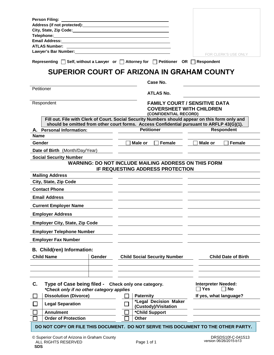| <b>Person Filing:</b>                                                                                                                                                                                                              |                                                                                                                    |                                                                       |
|------------------------------------------------------------------------------------------------------------------------------------------------------------------------------------------------------------------------------------|--------------------------------------------------------------------------------------------------------------------|-----------------------------------------------------------------------|
| Address (if not protected): Manual Address (if not protected):<br>City, State, Zip Code: National Assembly City, State, Zip Code:                                                                                                  |                                                                                                                    |                                                                       |
| <b>Telephone:</b> Telephone: Telephone: Telephone: Telephone: Telephone: Telephone: Telephone: Telephone: Telephone: Telephone: Telephone: Telephone: Telephone: Telephone: Telephone: Telephone: Telephone: Telephone: Telephone: |                                                                                                                    |                                                                       |
| <b>Email Address:</b>                                                                                                                                                                                                              |                                                                                                                    |                                                                       |
| <b>ATLAS Number:</b>                                                                                                                                                                                                               |                                                                                                                    |                                                                       |
| Lawyer's Bar Number: New York 1999 and the United States of the United States and States II and the United Sta                                                                                                                     |                                                                                                                    | FOR CLERK'S USE ONLY                                                  |
| Representing $\Box$ Self, without a Lawyer or $\Box$ Attorney for $\Box$ Petitioner OR $\Box$ Respondent                                                                                                                           |                                                                                                                    |                                                                       |
|                                                                                                                                                                                                                                    | SUPERIOR COURT OF ARIZONA IN GRAHAM COUNTY                                                                         |                                                                       |
|                                                                                                                                                                                                                                    | Case No.                                                                                                           |                                                                       |
| Petitioner                                                                                                                                                                                                                         | <b>ATLAS No.</b>                                                                                                   |                                                                       |
| Respondent                                                                                                                                                                                                                         | <b>FAMILY COURT / SENSITIVE DATA</b><br><b>COVERSHEET WITH CHILDREN</b>                                            |                                                                       |
| Fill out. File with Clerk of Court. Social Security Numbers should appear on this form only and                                                                                                                                    | (CONFIDENTIAL RECORD)<br>should be omitted from other court forms. Access Confidential pursuant to ARFLP 43(G)(1). |                                                                       |
| A. Personal Information:                                                                                                                                                                                                           | <b>Petitioner</b>                                                                                                  | <b>Respondent</b>                                                     |
| Name                                                                                                                                                                                                                               |                                                                                                                    |                                                                       |
| Gender                                                                                                                                                                                                                             | Male or<br>Female                                                                                                  | Female<br>Male or                                                     |
| Date of Birth (Month/Day/Year)                                                                                                                                                                                                     |                                                                                                                    |                                                                       |
| <b>Social Security Number</b>                                                                                                                                                                                                      |                                                                                                                    |                                                                       |
|                                                                                                                                                                                                                                    | <b>WARNING: DO NOT INCLUDE MAILING ADDRESS ON THIS FORM</b>                                                        |                                                                       |
|                                                                                                                                                                                                                                    | IF REQUESTING ADDRESS PROTECTION                                                                                   |                                                                       |
| <b>Mailing Address</b>                                                                                                                                                                                                             |                                                                                                                    |                                                                       |
| City, State, Zip Code                                                                                                                                                                                                              |                                                                                                                    |                                                                       |
| <b>Contact Phone</b>                                                                                                                                                                                                               |                                                                                                                    |                                                                       |
| <b>Email Address</b>                                                                                                                                                                                                               |                                                                                                                    |                                                                       |
| <b>Current Employer Name</b>                                                                                                                                                                                                       |                                                                                                                    |                                                                       |
| <b>Employer Address</b>                                                                                                                                                                                                            |                                                                                                                    |                                                                       |
| <b>Employer City, State, Zip Code</b>                                                                                                                                                                                              |                                                                                                                    |                                                                       |
| <b>Employer Telephone Number</b>                                                                                                                                                                                                   |                                                                                                                    |                                                                       |
| <b>Employer Fax Number</b>                                                                                                                                                                                                         |                                                                                                                    |                                                                       |
| B. Child(ren) Information:                                                                                                                                                                                                         |                                                                                                                    |                                                                       |
| <b>Child Name</b><br>Gender                                                                                                                                                                                                        | <b>Child Social Security Number</b>                                                                                | <b>Child Date of Birth</b>                                            |
|                                                                                                                                                                                                                                    |                                                                                                                    |                                                                       |
|                                                                                                                                                                                                                                    |                                                                                                                    |                                                                       |
|                                                                                                                                                                                                                                    |                                                                                                                    |                                                                       |
| C.<br>Type of Case being filed - Check only one category.<br>*Check only if no other category applies                                                                                                                              |                                                                                                                    | <b>Interpreter Needed:</b><br><b>No</b><br><b>Yes</b><br>$\mathbf{I}$ |
| <b>Dissolution (Divorce)</b>                                                                                                                                                                                                       | <b>Paternity</b>                                                                                                   | If yes, what language?                                                |
| <b>Legal Separation</b>                                                                                                                                                                                                            | *Legal Decision Maker                                                                                              |                                                                       |
| <b>Annulment</b>                                                                                                                                                                                                                   | (Custody)/Visitation<br>*Child Support                                                                             |                                                                       |
| <b>Order of Protection</b>                                                                                                                                                                                                         | <b>Other</b>                                                                                                       |                                                                       |
|                                                                                                                                                                                                                                    |                                                                                                                    |                                                                       |
| DO NOT COPY OR FILE THIS DOCUMENT. DO NOT SERVE THIS DOCUMENT TO THE OTHER PARTY.                                                                                                                                                  |                                                                                                                    |                                                                       |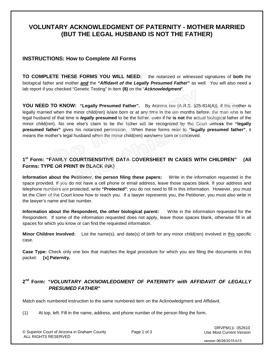# **VOLUNTARY ACKNOWLEDGMENT OF PATERNITY - MOTHER MARRIED (BUT THE LEGAL HUSBAND IS NOT THE FATHER)**

#### **INSTRUCTIONS: How to Complete All Forms**

**TO COMPLETE THESE FORMS YOU WILL NEED:** the notarized or witnessed signatures of **both** the biological father and mother *and* the **"***Affidavit of the Legally Presumed Father***"** as well. You will also need a lab report if you checked "Genetic Testing" in item **(8)** on the "*Acknowledgment*".

**YOU NEED TO KNOW: "Legally Presumed Father".** By Arizona law (A.R.S. §25-814(A)), if the mother is legally married when the minor child(ren) is/are born or at any time in the ten months before, the man who is her legal husband of that time is *legally* **presumed** to be the father, even if he **is not** the actual biological father of the minor child(ren). No one else's claim to be the father will be recognized by the Court **unless** the **"legally presumed father"** gives his notarized permission. When these forms refer to **"legally presumed father"**, it means the mother's legal husband when the minor child(ren) was/were born or conceived.

#### **1st Form: "FAMILY COURT/SENSITIVE DATA COVERSHEET IN CASES WITH CHILDREN" (All Forms: TYPE OR PRINT IN BLACK INK)**

**Information about the Petitioner, the person filing these papers:** Write in the information requested in the space provided. If you do not have a cell phone or email address, leave those spaces blank. If your address and telephone numbers are protected, write **"Protected"**; you do not need to fill in this information. However, you must let the Clerk of the Court know how to reach you. If a lawyer represents you, the Petitioner, you must also write in the lawyer's name and bar number.

**Information about the Respondent, the other biological parent:** Write in the information requested for the Respondent. If some of the information requested does not apply, leave those spaces blank, otherwise fill in all spaces for which you know or can find the requested information.

**Minor Children Involved:** List the name(s), and date(s) of birth for any minor child(ren) involved in this specific case.

**Case Type:** Check only one box that matches the legal procedure for which you are filing the documents in this packet: **[x] Paternity.**

#### **2nd Form: "***VOLUNTARY ACKNOWLEDGMENT OF PATERNITY with AFFIDAVIT OF LEGALLY PRESUMED FATHER***"**

Match each numbered instruction to the same numbered item on the Acknowledgment and Affidavit.

(1) At top, left: Fill in the name, address, and phone number of the person filing the form.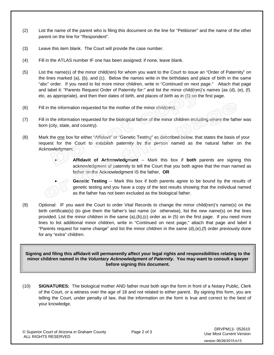- (2) List the name of the parent who is filing this document on the line for "Petitioner" and the name of the other parent on the line for "Respondent".
- (3) Leave this item blank. The Court will provide the case number.
- (4) Fill in the ATLAS number IF one has been assigned; if none, leave blank.
- (5) List the name(s) of the minor child(ren) for whom you want to the Court to issue an "Order of Paternity" on the lines marked (a), (b), and (c). Below the names write in the birthdates and place of birth in the same "abc" order. If you need to list more minor children, write in "Continued on next page." Attach that page and label it: "Parents Request Order of Paternity for:" and list the minor child(ren)'s names (as (d), (e), (f). etc. as appropriate), and then their dates of birth, and places of birth as in (5) on the first page.
- (6) Fill in the information requested for the mother of the minor child(ren).
- (7) Fill in the information requested for the biological father of the minor children including where the father was born (city, state, and country).
- (8) Mark the one box for either "Affidavit" or "Genetic Testing" as described below, that states the basis of your request for the Court to establish paternity by the person named as the natural father on the Acknowledgment.





**Genetic Testing** -- Mark this box if both parents agree to be bound by the results of genetic testing and you have a copy of the test results showing that the individual named as the father has not been excluded as the biological father.

(9) Optional: IF you want the Court to order Vital Records to change the minor child(ren)'s name(s) on the birth certificate(s) (to give them the father's last name (or otherwise), list the *new name*(s) on the lines provided. List the minor children in the same (a),(b),(c) order as in (5) on the first page. If you need more lines to list additional minor children, write in "Continued on next page," attach that page and label it "Parents request for name change" and list the minor children in the same (d),(e),(f) order previously done for any "extra" children.

**Signing and filing this affidavit will permanently affect your legal rights and responsibilities relating to the minor children named in the** *Voluntary Acknowledgment of Paternity***. You may want to consult a lawyer before signing this document.**

(10) **SIGNATURES:** The biological mother AND father must both sign the form in front of a Notary Public, Clerk of the Court, *or* a witness over the age of 18 and not related to either parent. By signing this form, you are telling the Court, under penalty of law, that the information on the form is true and correct to the best of your knowledge.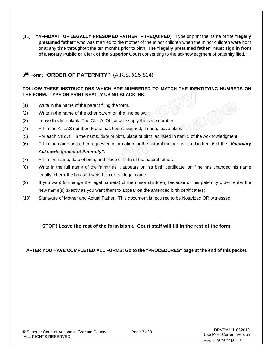(11) **"AFFIDAVIT OF LEGALLY PRESUMED FATHER" – (REQUIRED).** Type or print the name of the **"legally presumed father"** who was married to the mother of the minor children when the minor children were born or at any time throughout the ten months prior to birth. **The "legally presumed father" must sign in front of a Notary Public or Clerk of the Superior Court** consenting to the acknowledgment of paternity filed.

# **3RD Form:** "**ORDER OF PATERNITY"** (A.R.S. §25-814)

#### **FOLLOW THESE INSTRUCTIONS WHICH ARE NUMBERED TO MATCH THE IDENTIFYING NUMBERS ON THE FORM. TYPE OR PRINT NEATLY USING BLACK INK.**

- (1) Write in the name of the parent filing the form.
- (2) Write in the name of the other parent on the line below.
- (3) Leave this line blank. The Clerk's Office will supply the case number.
- (4) Fill in the ATLAS number IF one has been assigned; if none, leave blank.
- (5) For each child, fill in the name, date of birth, place of birth, as listed in Item 5 of the Acknowledgment.
- (6) Fill in the name and other requested information for the natural mother as listed in Item 6 of the *"Voluntary Acknowledgment of Paternity".*
- (7) Fill in the name, date of birth, and place of birth of the natural father.
- (8) Write in the full name of the father as it appears on his birth certificate, or if he has changed his name legally, check the box and write his current legal name.
- (9) If you want to change the legal name(s) of the minor child(ren) because of this paternity order, enter the new name(s) exactly as you want them to appear on the amended birth certificate(s).
- (10) Signature of Mother and Actual Father. This document is required to be Notarized OR witnessed.

#### **STOP! Leave the rest of the form blank. Court staff will fill in the rest of the form.**

**AFTER YOU HAVE COMPLETED ALL FORMS: Go to the "PROCEDURES" page at the end of this packet.**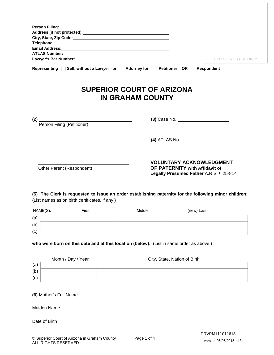|                                                |                    | Lawyer's Bar Number: Management Communication of the United States and Communications of the United States and |                                                                                                              | FOR CLERK'S USE ONLY |
|------------------------------------------------|--------------------|----------------------------------------------------------------------------------------------------------------|--------------------------------------------------------------------------------------------------------------|----------------------|
|                                                |                    | Representing $\Box$ Self, without a Lawyer or $\Box$ Attorney for $\Box$ Petitioner OR $\Box$ Respondent       |                                                                                                              |                      |
| (2) Person Filing (Petitioner)                 |                    | <b>SUPERIOR COURT OF ARIZONA</b><br><b>IN GRAHAM COUNTY</b>                                                    |                                                                                                              |                      |
|                                                |                    |                                                                                                                |                                                                                                              |                      |
| Other Parent (Respondent)                      |                    |                                                                                                                | <b>VOLUNTARY ACKNOWLEDGMENT</b><br>OF PATERNITY with Affidavit of<br>Legally Presumed Father A.R.S. § 25-814 |                      |
| (List names as on birth certificates, if any.) |                    | (5) The Clerk is requested to issue an order establishing paternity for the following minor children:          |                                                                                                              |                      |
| NAME(S):                                       | First              | Middle                                                                                                         | (new) Last                                                                                                   |                      |
| (a)                                            |                    |                                                                                                                |                                                                                                              |                      |
| (b)                                            |                    |                                                                                                                |                                                                                                              |                      |
| (c)                                            |                    |                                                                                                                |                                                                                                              |                      |
|                                                |                    | who were born on this date and at this location (below): (List in same order as above.)                        |                                                                                                              |                      |
| (a)                                            | Month / Day / Year |                                                                                                                | City, State, Nation of Birth                                                                                 |                      |

| (b)                    |  |  |
|------------------------|--|--|
| (c)                    |  |  |
|                        |  |  |
| (6) Mother's Full Name |  |  |
|                        |  |  |
| Maiden Name            |  |  |
| Date of Birth          |  |  |
|                        |  |  |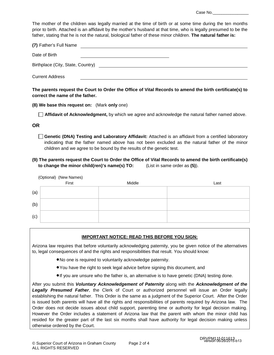Case No.

The mother of the children was legally married at the time of birth or at some time during the ten months prior to birth. Attached is an affidavit by the mother's husband at that time, who is legally presumed to be the father, stating that he is not the natural, biological father of these minor children. **The natural father is:** 

| (7) Father's Full Name            |  |
|-----------------------------------|--|
| Date of Birth                     |  |
| Birthplace (City, State, Country) |  |
| <b>Current Address</b>            |  |

**The parents request the Court to Order the Office of Vital Records to amend the birth certificate(s) to correct the name of the father.**

**(8) We base this request on:** (Mark **only** one)

**Affidavit of Acknowledgment,** by which we agree and acknowledge the natural father named above.

#### **OR**

Genetic (DNA) Testing and Laboratory Affidavit: Attached is an affidavit from a certified laboratory indicating that the father named above has not been excluded as the natural father of the minor children and we agree to be bound by the results of the genetic test.

#### **(9) The parents request the Court to Order the Office of Vital Records to amend the birth certificate(s) to change the minor child(ren)'s name(s) TO:** (List in same order as **(5)**).

|     | (Optional) (New Names)<br>First |        |      |
|-----|---------------------------------|--------|------|
|     |                                 | Middle | Last |
| (a) |                                 |        |      |
| (b) |                                 |        |      |
| (c) |                                 |        |      |

#### **IMPORTANT NOTICE: READ THIS BEFORE YOU SIGN:**

Arizona law requires that before voluntarily acknowledging paternity, you be given notice of the alternatives to, legal consequences of and the rights and responsibilities that result. You should know:

- •No one is required to voluntarily acknowledge paternity.
- •You have the right to seek legal advice before signing this document, and
- •If you are unsure who the father is, an alternative is to have genetic (DNA) testing done.

After you submit this *Voluntary Acknowledgement of Paternity* along with the *Acknowledgment of the Legally Presumed Father*, the Clerk of Court or authorized personnel will issue an Order legally establishing the natural father. This Order is the same as a judgment of the Superior Court. After the Order is issued both parents will have all the rights and responsibilities of parents required by Arizona law. The Order does not decide issues about child support, parenting time or authority for legal decision making. However the Order includes a statement of Arizona law that the parent with whom the minor child has resided for the greater part of the last six months shall have authority for legal decision making unless otherwise ordered by the Court.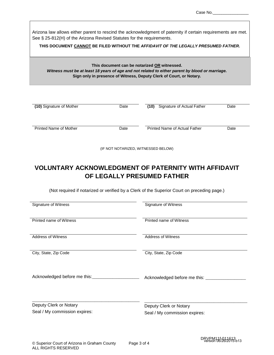Arizona law allows either parent to rescind the acknowledgment of paternity if certain requirements are met. See § 25-812(H) of the Arizona Revised Statutes for the requirements.

**THIS DOCUMENT CANNOT BE FILED WITHOUT THE** *AFFIDAVIT OF THE LEGALLY PRESUMED FATHER***.** 

#### **This document can be notarized OR witnessed.** *Witness must be at least 18 years of age and not related to either parent by blood or marriage.* **Sign only in presence of Witness, Deputy Clerk of Court, or Notary.**

| (10) Signature of Mother      | Date | Signature of Actual Father<br>(10)   | Date |
|-------------------------------|------|--------------------------------------|------|
| <b>Printed Name of Mother</b> | Date | <b>Printed Name of Actual Father</b> | Date |

(IF NOT NOTARIZED, WITNESSED BELOW)

# **VOLUNTARY ACKNOWLEDGMENT OF PATERNITY WITH AFFIDAVIT OF LEGALLY PRESUMED FATHER**

(Not required if notarized or verified by a Clerk of the Superior Court on preceding page.)

| Signature of Witness             |
|----------------------------------|
|                                  |
| <b>Printed name of Witness</b>   |
|                                  |
| <b>Address of Witness</b>        |
|                                  |
| City, State, Zip Code            |
|                                  |
|                                  |
| Acknowledged before me this: ___ |
|                                  |
|                                  |
| Deputy Clerk or Notary           |
| Seal / My commission expires:    |
|                                  |
|                                  |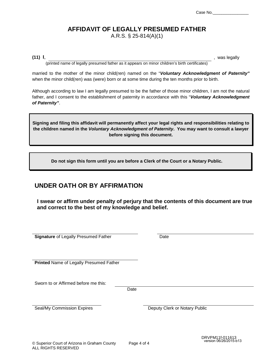# **AFFIDAVIT OF LEGALLY PRESUMED FATHER**

A.R.S. § 25-814(A)(1)

(11) I, was legally

(printed name of legally presumed father as it appears on minor children's birth certificates)

married to the mother of the minor child(ren) named on the "*Voluntary Acknowledgment of Paternity"* when the minor child(ren) was (were) born or at some time during the ten months prior to birth.

Although according to law I am legally presumed to be the father of those minor children, I am not the natural father, and I consent to the establishment of paternity in accordance with this "*Voluntary Acknowledgment of Paternity"*.

**Signing and filing this affidavit will permanently affect your legal rights and responsibilities relating to the children named in the** *Voluntary Acknowledgment of Paternity***. You may want to consult a lawyer before signing this document.**

**Do not sign this form until you are before a Clerk of the Court or a Notary Public.**

# **UNDER OATH OR BY AFFIRMATION**

**I swear or affirm under penalty of perjury that the contents of this document are true and correct to the best of my knowledge and belief.**

**Signature** of Legally Presumed Father **Date** 

**Printed** Name of Legally Presumed Father

Sworn to or Affirmed before me this:

Date

Seal/My Commission Expires Deputy Clerk or Notary Public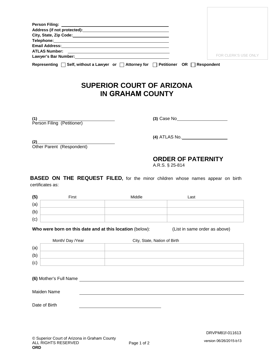|                                        |                                                          | Address (if not protected): Manual Address (if not protected):                       |                                                                                       |
|----------------------------------------|----------------------------------------------------------|--------------------------------------------------------------------------------------|---------------------------------------------------------------------------------------|
|                                        |                                                          |                                                                                      |                                                                                       |
|                                        |                                                          |                                                                                      |                                                                                       |
|                                        |                                                          |                                                                                      | <b>FOR CLERK'S USE ONLY</b>                                                           |
|                                        |                                                          | Representing   Self, without a Lawyer or   Attorney for   Petitioner OR   Respondent |                                                                                       |
|                                        |                                                          | <b>SUPERIOR COURT OF ARIZONA</b><br><b>IN GRAHAM COUNTY</b>                          |                                                                                       |
|                                        |                                                          |                                                                                      | (3) Case No <sub>2</sub> and Case No <sub>2</sub>                                     |
|                                        |                                                          |                                                                                      |                                                                                       |
| (2)                                    | Other Parent (Respondent)                                |                                                                                      |                                                                                       |
|                                        |                                                          |                                                                                      | <b>ORDER OF PATERNITY</b><br>A.R.S. § 25-814                                          |
|                                        | certificates as:                                         |                                                                                      | <b>BASED ON THE REQUEST FILED,</b> for the minor children whose names appear on birth |
|                                        | First                                                    | Middle                                                                               | Last                                                                                  |
|                                        |                                                          |                                                                                      |                                                                                       |
|                                        |                                                          |                                                                                      |                                                                                       |
|                                        |                                                          |                                                                                      |                                                                                       |
|                                        | Who were born on this date and at this location (below): |                                                                                      | (List in same order as above)                                                         |
|                                        |                                                          | City, State, Nation of Birth                                                         |                                                                                       |
|                                        | Month/ Day /Year                                         |                                                                                      |                                                                                       |
| (5)<br>(a)<br>(b)<br>(c)<br>(a)<br>(b) |                                                          |                                                                                      |                                                                                       |

Maiden Name

Date of Birth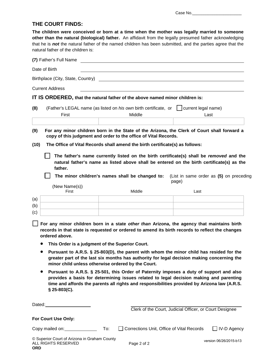#### **THE COURT FINDS:**

**The children were conceived or born at a time when the mother was legally married to someone other than the natural (biological) father.** An affidavit from the legally presumed father acknowledging that he is *not* the natural father of the named children has been submitted, and the parties agree that the natural father of the children is:

|      | (7) Father's Full Name                                                                                                                                                                                          |     |                                                                                                                                                                                                                                                                                   |       |                                         |
|------|-----------------------------------------------------------------------------------------------------------------------------------------------------------------------------------------------------------------|-----|-----------------------------------------------------------------------------------------------------------------------------------------------------------------------------------------------------------------------------------------------------------------------------------|-------|-----------------------------------------|
|      | Date of Birth                                                                                                                                                                                                   |     |                                                                                                                                                                                                                                                                                   |       |                                         |
|      | Birthplace (City, State, Country)                                                                                                                                                                               |     |                                                                                                                                                                                                                                                                                   |       |                                         |
|      | <b>Current Address</b>                                                                                                                                                                                          |     |                                                                                                                                                                                                                                                                                   |       |                                         |
|      | IT IS ORDERED, that the natural father of the above named minor children is:                                                                                                                                    |     |                                                                                                                                                                                                                                                                                   |       |                                         |
| (8)  | First                                                                                                                                                                                                           |     | (Father's LEGAL name (as listed on his own birth certificate, or   current legal name)<br>Middle                                                                                                                                                                                  |       | Last                                    |
|      |                                                                                                                                                                                                                 |     |                                                                                                                                                                                                                                                                                   |       |                                         |
| (9)  |                                                                                                                                                                                                                 |     | For any minor children born in the State of the Arizona, the Clerk of Court shall forward a<br>copy of this judgment and order to the office of Vital Records.                                                                                                                    |       |                                         |
| (10) |                                                                                                                                                                                                                 |     | The Office of Vital Records shall amend the birth certificate(s) as follows:                                                                                                                                                                                                      |       |                                         |
|      | father.                                                                                                                                                                                                         |     | The father's name currently listed on the birth certificate(s) shall be removed and the<br>natural father's name as listed above shall be entered on the birth certificate(s) as the<br>The minor children's names shall be changed to:                                           | page) | (List in same order as (5) on preceding |
|      | (New Name(s))<br>First                                                                                                                                                                                          |     | Middle                                                                                                                                                                                                                                                                            | Last  |                                         |
| (a)  |                                                                                                                                                                                                                 |     |                                                                                                                                                                                                                                                                                   |       |                                         |
| (b)  |                                                                                                                                                                                                                 |     |                                                                                                                                                                                                                                                                                   |       |                                         |
| (c)  |                                                                                                                                                                                                                 |     |                                                                                                                                                                                                                                                                                   |       |                                         |
|      | For any minor children born in a state other than Arizona, the agency that maintains birth<br>records in that state is requested or ordered to amend its birth records to reflect the changes<br>ordered above. |     |                                                                                                                                                                                                                                                                                   |       |                                         |
|      | This Order is a judgment of the Superior Court.                                                                                                                                                                 |     |                                                                                                                                                                                                                                                                                   |       |                                         |
|      | minor child unless otherwise ordered by the Court.                                                                                                                                                              |     | Pursuant to A.R.S. § 25-803(D), the parent with whom the minor child has resided for the<br>greater part of the last six months has authority for legal decision making concerning the                                                                                            |       |                                         |
|      | $$25-803(C).$                                                                                                                                                                                                   |     | Pursuant to A.R.S. § 25-501, this Order of Paternity imposes a duty of support and also<br>provides a basis for determining issues related to legal decision making and parenting<br>time and affords the parents all rights and responsibilities provided by Arizona law (A.R.S. |       |                                         |
|      | Dated: <u>University</u>                                                                                                                                                                                        |     | Clerk of the Court, Judicial Officer, or Court Designee                                                                                                                                                                                                                           |       |                                         |
|      | For Court Use Only:                                                                                                                                                                                             |     |                                                                                                                                                                                                                                                                                   |       |                                         |
|      | Copy mailed on: Copy mailed on:                                                                                                                                                                                 | To: | Corrections Unit, Office of Vital Records                                                                                                                                                                                                                                         |       | $\Box$ IV-D Agency                      |
|      | © Superior Court of Arizona in Graham County<br>ALL RIGHTS RESERVED                                                                                                                                             |     | Page 2 of 2                                                                                                                                                                                                                                                                       |       | version 06/26/2015-b13                  |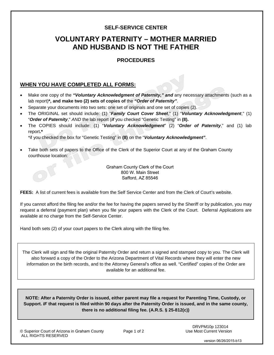#### **SELF-SERVICE CENTER**

# **VOLUNTARY PATERNITY – MOTHER MARRIED AND HUSBAND IS NOT THE FATHER**

# **PROCEDURES**

## **WHEN YOU HAVE COMPLETED ALL FORMS:**

- Make one copy of the *"Voluntary Acknowledgment of Paternity," and* any necessary attachments (such as a lab report)**\*, and make two (2) sets of copies of** the *"Order of Paternity"*.
- Separate your documents into two sets: one set of originals and one set of copies (2).
- The ORIGINAL set should include: (1) "*Family Court Cover Sheet*," (1) "*Voluntary Acknowledgment*," (1) "*Order of Paternity*," *AND* the lab report (*if* you checked "Genetic Testing" in **(8).**
- The COPIES should include: (1) "*Voluntary Acknowledgment*" (2) "*Order of Paternity*," and (1) lab report**.\***

\*if you checked the box for "Genetic Testing" in **(8)** on the "*Voluntary Acknowledgment"*.

• Take both sets of papers to the Office of the Clerk of the Superior Court at any of the Graham County courthouse location:

> Graham County Clerk of the Court 800 W. Main Street Safford, AZ 85546

**FEES:** A list of current fees is available from the Self Service Center and from the Clerk of Court's website.

If you cannot afford the filing fee and/or the fee for having the papers served by the Sheriff or by publication, you may request a deferral (payment plan) when you file your papers with the Clerk of the Court. Deferral Applications are available at no charge from the Self-Service Center.

Hand both sets (2) of your court papers to the Clerk along with the filing fee.

The Clerk will sign and file the original Paternity Order and return a signed and stamped copy to you. The Clerk will also forward a copy of the Order to the Arizona Department of Vital Records where they will enter the new information on the birth records, and to the Attorney General's office as well. "Certified" copies of the Order are available for an additional fee.

**NOTE: After a Paternity Order is issued, either parent may file a request for Parenting Time, Custody, or Support.** *IF* **that request is filed within 90 days after the Paternity Order is issued, and in the same county, there is no additional filing fee. (A.R.S. § 25-812(c))**

© Superior Court of Arizona in Graham County Page 1 of 2 ALL RIGHTS RESERVED

 DRVPM10p 123014 Use Most Current Version